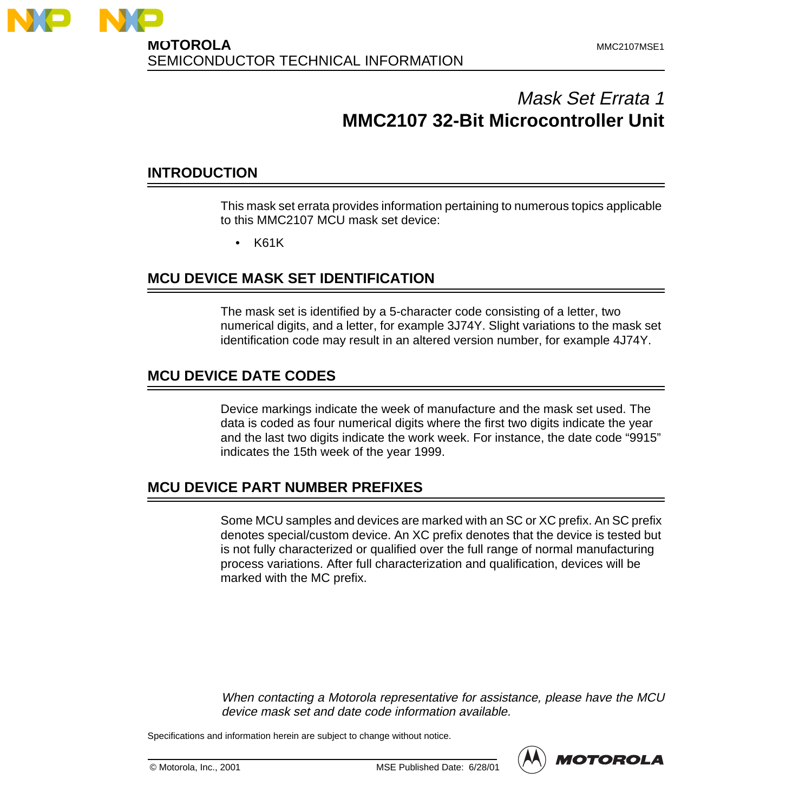

# Mask Set Errata 1 **MMC2107 32-Bit Microcontroller Unit**

### **INTRODUCTION**

This mask set errata provides information pertaining to numerous topics applicable to this MMC2107 MCU mask set device:

• K61K

### **MCU DEVICE MASK SET IDENTIFICATION**

The mask set is identified by a 5-character code consisting of a letter, two numerical digits, and a letter, for example 3J74Y. Slight variations to the mask set identification code may result in an altered version number, for example 4J74Y.

### **MCU DEVICE DATE CODES**

Device markings indicate the week of manufacture and the mask set used. The data is coded as four numerical digits where the first two digits indicate the year and the last two digits indicate the work week. For instance, the date code "9915" indicates the 15th week of the year 1999.

### **MCU DEVICE PART NUMBER PREFIXES**

Some MCU samples and devices are marked with an SC or XC prefix. An SC prefix denotes special/custom device. An XC prefix denotes that the device is tested but is not fully characterized or qualified over the full range of normal manufacturing process variations. After full characterization and qualification, devices will be marked with the MC prefix.

When contacting <sup>a</sup> Motorola representative for assistance, please have the MCU device mask set and date code information available.

Specifications and information herein are subject to change without notice.



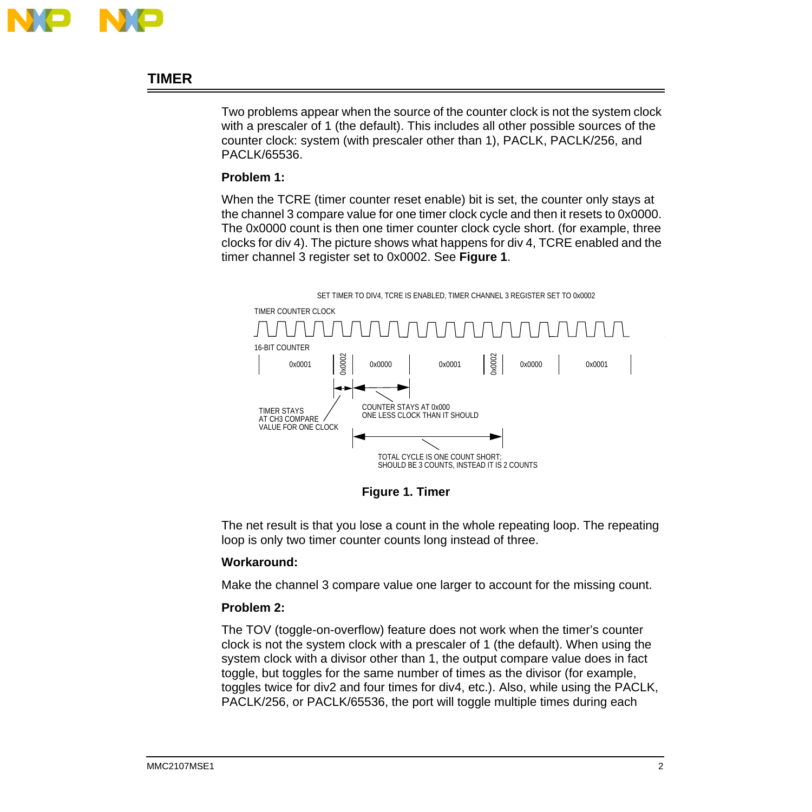

## **TIMER**

Two problems appear when the source of the counter clock is not the system clock with a prescaler of 1 (the default). This includes all other possible sources of the counter clock: system (with prescaler other than 1), PACLK, PACLK/256, and PACLK/65536.

### **Problem 1:**

When the TCRE (timer counter reset enable) bit is set, the counter only stays at the channel 3 compare value for one timer clock cycle and then it resets to 0x0000. The 0x0000 count is then one timer counter clock cycle short. (for example, three clocks for div 4). The picture shows what happens for div 4, TCRE enabled and the timer channel 3 register set to 0x0002. See **Figure 1**.



**Figure 1. Timer**

The net result is that you lose a count in the whole repeating loop. The repeating loop is only two timer counter counts long instead of three.

### **Workaround:**

Make the channel 3 compare value one larger to account for the missing count.

### **Problem 2:**

The TOV (toggle-on-overflow) feature does not work when the timer's counter clock is not the system clock with a prescaler of 1 (the default). When using the system clock with a divisor other than 1, the output compare value does in fact toggle, but toggles for the same number of times as the divisor (for example, toggles twice for div2 and four times for div4, etc.). Also, while using the PACLK, PACLK/256, or PACLK/65536, the port will toggle multiple times during each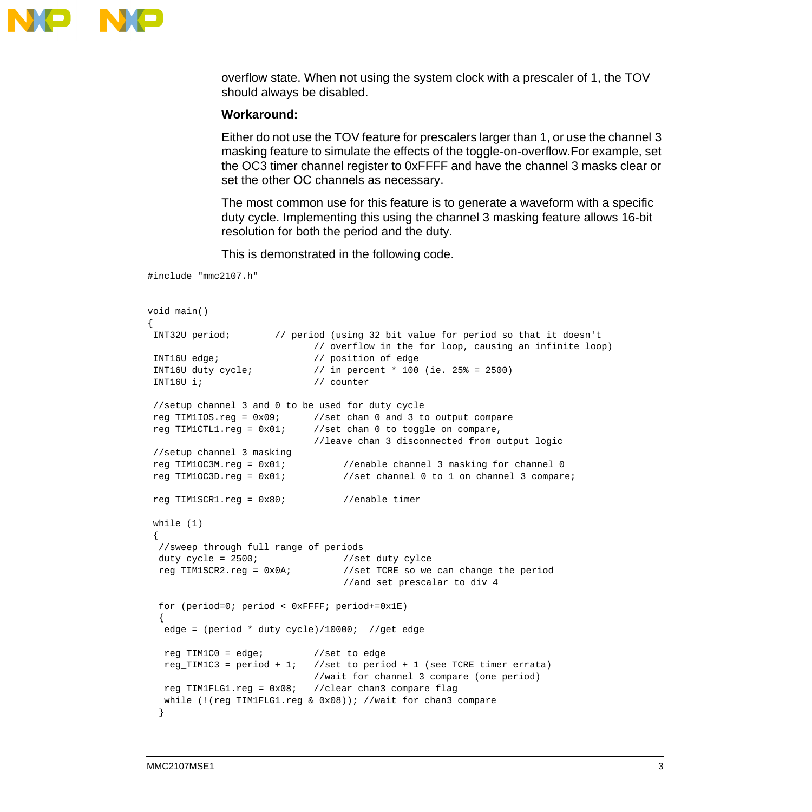

overflow state. When not using the system clock with a prescaler of 1, the TOV should always be disabled.

#### **Workaround:**

Either do not use the TOV feature for prescalers larger than 1, or use the channel 3 masking feature to simulate the effects of the toggle-on-overflow.For example, set the OC3 timer channel register to 0xFFFF and have the channel 3 masks clear or set the other OC channels as necessary.

The most common use for this feature is to generate a waveform with a specific duty cycle. Implementing this using the channel 3 masking feature allows 16-bit resolution for both the period and the duty.

This is demonstrated in the following code.

```
#include "mmc2107.h"
```

```
void main()
{
 INT32U period; // period (using 32 bit value for period so that it doesn't
                           // overflow in the for loop, causing an infinite loop)
 INT16U edge; // position of edge
 INT16U duty_cycle; // in percent * 100 (ie. 25% = 2500)
 INT16U i; // counter
 //setup channel 3 and 0 to be used for duty cycle
 reg_TIM1IOS.reg = 0x09; //set chan 0 and 3 to output compare
 reg_TIM1CTL1.reg = 0x01; //set chan 0 to toggle on compare,
                           //leave chan 3 disconnected from output logic
 //setup channel 3 masking
 reg_TIM1OC3M.reg = 0x01; //enable channel 3 masking for channel 0
reg TIM1OC3D.reg = 0x01; //set channel 0 to 1 on channel 3 compare;
 reg_TIM1SCR1.reg = 0x80; //enable timer
 while (1)
 {
  //sweep through full range of periods
 duty_cycle = 2500; //set duty cylce
  reg_TIM1SCR2.reg = 0x0A; //set TCRE so we can change the period
                                //and set prescalar to div 4
  for (period=0; period < 0xFFFF; period+=0x1E)
 {
   edge = (period * duty_cycle)/10000; //get edge
   reg_TIM1C0 = edge; //set to edge
  reg_TIM1C3 = period + 1; //set to period + 1 (see TCRE timer errata)
                           //wait for channel 3 compare (one period)
   reg_TIM1FLG1.reg = 0x08; //clear chan3 compare flag
   while (!(reg_TIM1FLG1.reg & 0x08)); //wait for chan3 compare
   }
```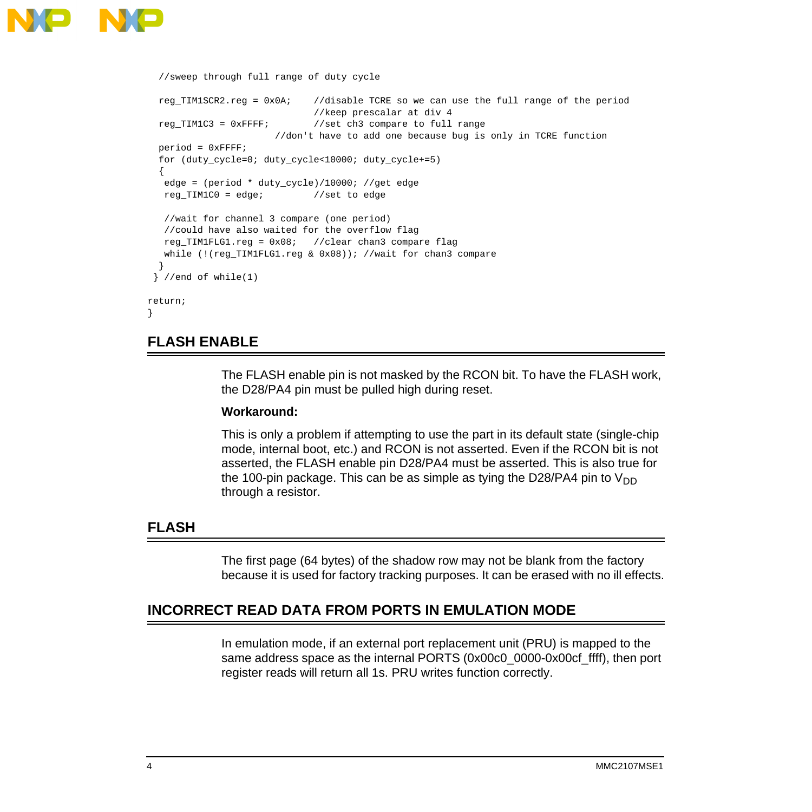

```
 //sweep through full range of duty cycle
  reg_TIM1SCR2.reg = 0x0A; //disable TCRE so we can use the full range of the period
                             //keep prescalar at div 4
   reg_TIM1C3 = 0xFFFF; //set ch3 compare to full range
                       //don't have to add one because bug is only in TCRE function
  period = 0xFFFF;
   for (duty_cycle=0; duty_cycle<10000; duty_cycle+=5)
 {
   edge = (period * duty_cycle)/10000; //get edge
   reg_TIM1C0 = edge; //set to edge
   //wait for channel 3 compare (one period)
   //could have also waited for the overflow flag
   reg_TIM1FLG1.reg = 0x08; //clear chan3 compare flag
   while (!(reg_TIM1FLG1.reg & 0x08)); //wait for chan3 compare
 }
 \} //end of while(1)
return;
}
```
### **FLASH ENABLE**

The FLASH enable pin is not masked by the RCON bit. To have the FLASH work, the D28/PA4 pin must be pulled high during reset.

#### **Workaround:**

This is only a problem if attempting to use the part in its default state (single-chip mode, internal boot, etc.) and RCON is not asserted. Even if the RCON bit is not asserted, the FLASH enable pin D28/PA4 must be asserted. This is also true for the 100-pin package. This can be as simple as tying the D28/PA4 pin to  $V_{DD}$ through a resistor.

### **FLASH**

The first page (64 bytes) of the shadow row may not be blank from the factory because it is used for factory tracking purposes. It can be erased with no ill effects.

### **INCORRECT READ DATA FROM PORTS IN EMULATION MODE**

In emulation mode, if an external port replacement unit (PRU) is mapped to the same address space as the internal PORTS (0x00c0\_0000-0x00cf\_ffff), then port register reads will return all 1s. PRU writes function correctly.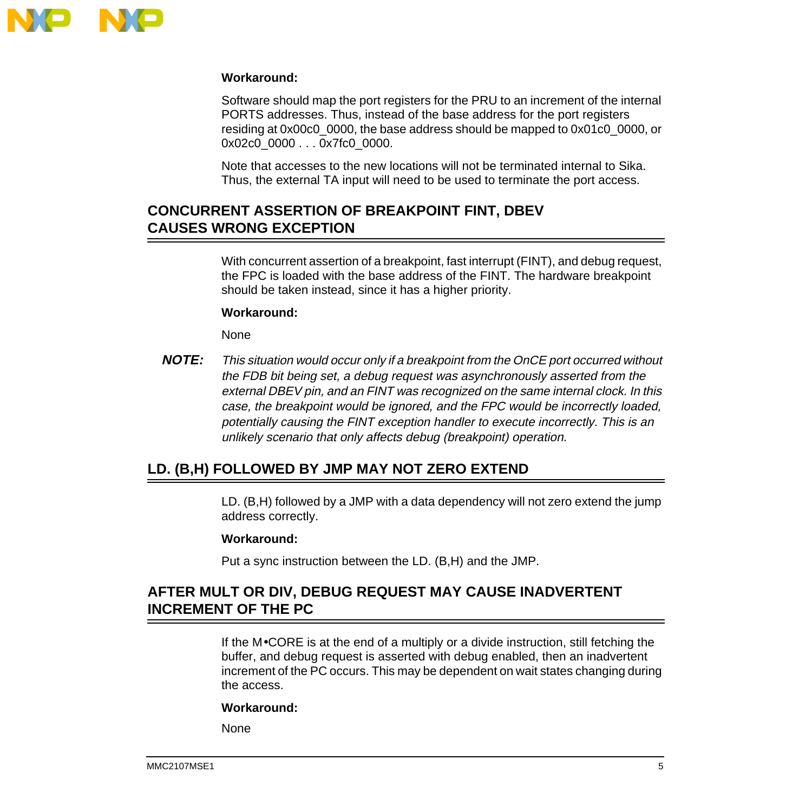

### **Workaround:**

Software should map the port registers for the PRU to an increment of the internal PORTS addresses. Thus, instead of the base address for the port registers residing at 0x00c0\_0000, the base address should be mapped to 0x01c0\_0000, or 0x02c0\_0000 . . . 0x7fc0\_0000.

Note that accesses to the new locations will not be terminated internal to Sika. Thus, the external TA input will need to be used to terminate the port access.

## **CONCURRENT ASSERTION OF BREAKPOINT FINT, DBEV CAUSES WRONG EXCEPTION**

With concurrent assertion of a breakpoint, fast interrupt (FINT), and debug request, the FPC is loaded with the base address of the FINT. The hardware breakpoint should be taken instead, since it has a higher priority.

### **Workaround:**

None

**NOTE:** This situation would occur only if <sup>a</sup> breakpoint from the OnCE port occurred without the FDB bit being set, a debug request was asynchronously asserted from the external DBEV pin, and an FINT was recognized on the same internal clock. In this case, the breakpoint would be ignored, and the FPC would be incorrectly loaded, potentially causing the FINT exception handler to execute incorrectly. This is an unlikely scenario that only affects debug (breakpoint) operation.

## **LD. (B,H) FOLLOWED BY JMP MAY NOT ZERO EXTEND**

LD. (B,H) followed by a JMP with a data dependency will not zero extend the jump address correctly.

#### **Workaround:**

Put a sync instruction between the LD. (B,H) and the JMP.

### **AFTER MULT OR DIV, DEBUG REQUEST MAY CAUSE INADVERTENT INCREMENT OF THE PC**

If the M•CORE is at the end of a multiply or a divide instruction, still fetching the buffer, and debug request is asserted with debug enabled, then an inadvertent increment of the PC occurs. This may be dependent on wait states changing during the access.

#### **Workaround:**

None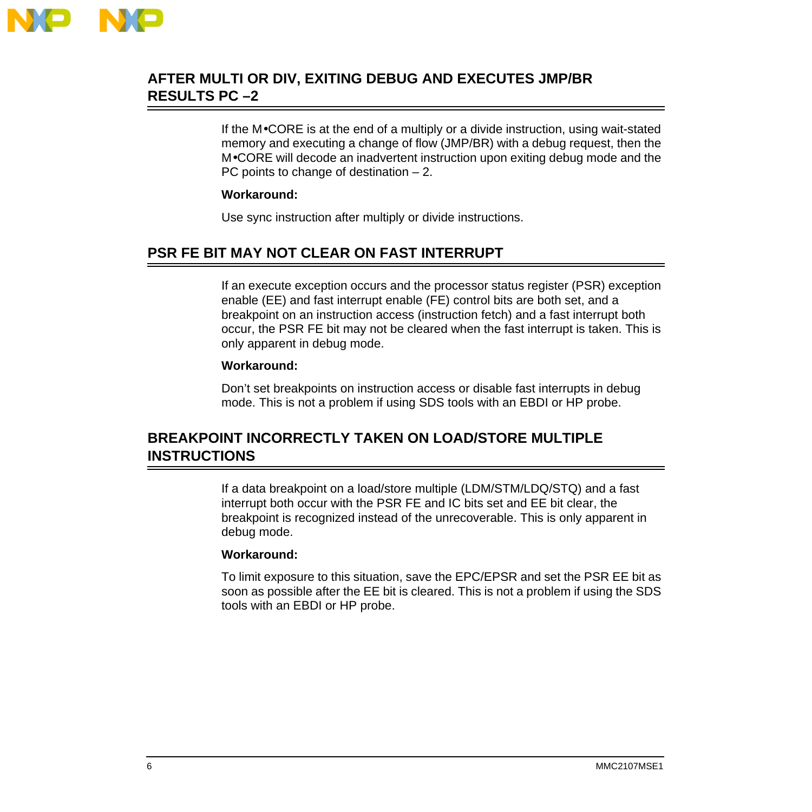

## **AFTER MULTI OR DIV, EXITING DEBUG AND EXECUTES JMP/BR RESULTS PC –2**

If the M•CORE is at the end of a multiply or a divide instruction, using wait-stated memory and executing a change of flow (JMP/BR) with a debug request, then the M•CORE will decode an inadvertent instruction upon exiting debug mode and the PC points to change of destination – 2.

### **Workaround:**

Use sync instruction after multiply or divide instructions.

## **PSR FE BIT MAY NOT CLEAR ON FAST INTERRUPT**

If an execute exception occurs and the processor status register (PSR) exception enable (EE) and fast interrupt enable (FE) control bits are both set, and a breakpoint on an instruction access (instruction fetch) and a fast interrupt both occur, the PSR FE bit may not be cleared when the fast interrupt is taken. This is only apparent in debug mode.

### **Workaround:**

Don't set breakpoints on instruction access or disable fast interrupts in debug mode. This is not a problem if using SDS tools with an EBDI or HP probe.

## **BREAKPOINT INCORRECTLY TAKEN ON LOAD/STORE MULTIPLE INSTRUCTIONS**

If a data breakpoint on a load/store multiple (LDM/STM/LDQ/STQ) and a fast interrupt both occur with the PSR FE and IC bits set and EE bit clear, the breakpoint is recognized instead of the unrecoverable. This is only apparent in debug mode.

### **Workaround:**

To limit exposure to this situation, save the EPC/EPSR and set the PSR EE bit as soon as possible after the EE bit is cleared. This is not a problem if using the SDS tools with an EBDI or HP probe.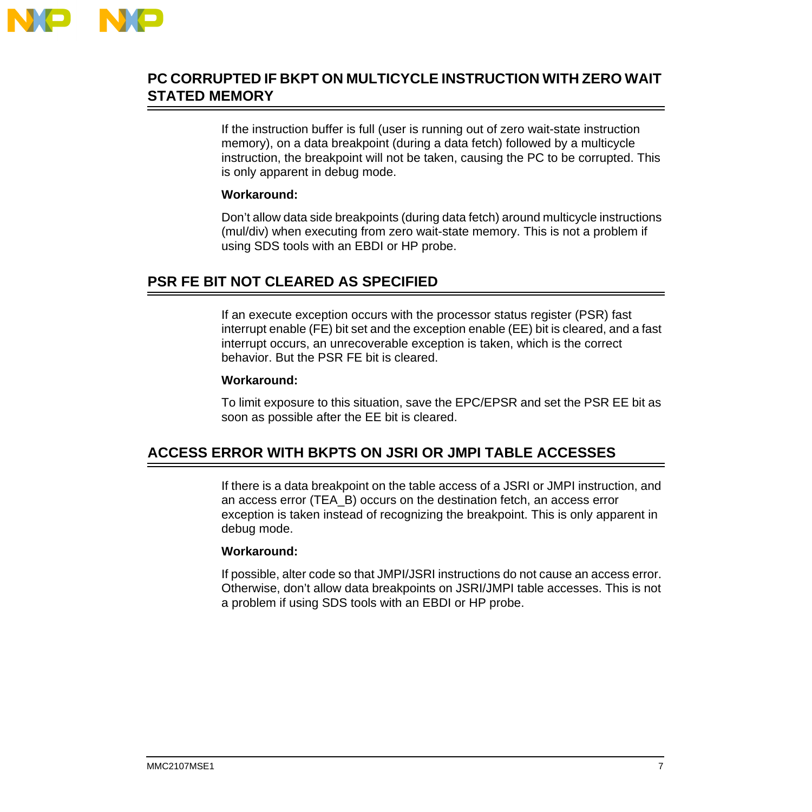

## **PC CORRUPTED IF BKPT ON MULTICYCLE INSTRUCTION WITH ZERO WAIT STATED MEMORY**

If the instruction buffer is full (user is running out of zero wait-state instruction memory), on a data breakpoint (during a data fetch) followed by a multicycle instruction, the breakpoint will not be taken, causing the PC to be corrupted. This is only apparent in debug mode.

### **Workaround:**

Don't allow data side breakpoints (during data fetch) around multicycle instructions (mul/div) when executing from zero wait-state memory. This is not a problem if using SDS tools with an EBDI or HP probe.

### **PSR FE BIT NOT CLEARED AS SPECIFIED**

If an execute exception occurs with the processor status register (PSR) fast interrupt enable (FE) bit set and the exception enable (EE) bit is cleared, and a fast interrupt occurs, an unrecoverable exception is taken, which is the correct behavior. But the PSR FE bit is cleared.

### **Workaround:**

To limit exposure to this situation, save the EPC/EPSR and set the PSR EE bit as soon as possible after the EE bit is cleared.

## **ACCESS ERROR WITH BKPTS ON JSRI OR JMPI TABLE ACCESSES**

If there is a data breakpoint on the table access of a JSRI or JMPI instruction, and an access error (TEA\_B) occurs on the destination fetch, an access error exception is taken instead of recognizing the breakpoint. This is only apparent in debug mode.

### **Workaround:**

If possible, alter code so that JMPI/JSRI instructions do not cause an access error. Otherwise, don't allow data breakpoints on JSRI/JMPI table accesses. This is not a problem if using SDS tools with an EBDI or HP probe.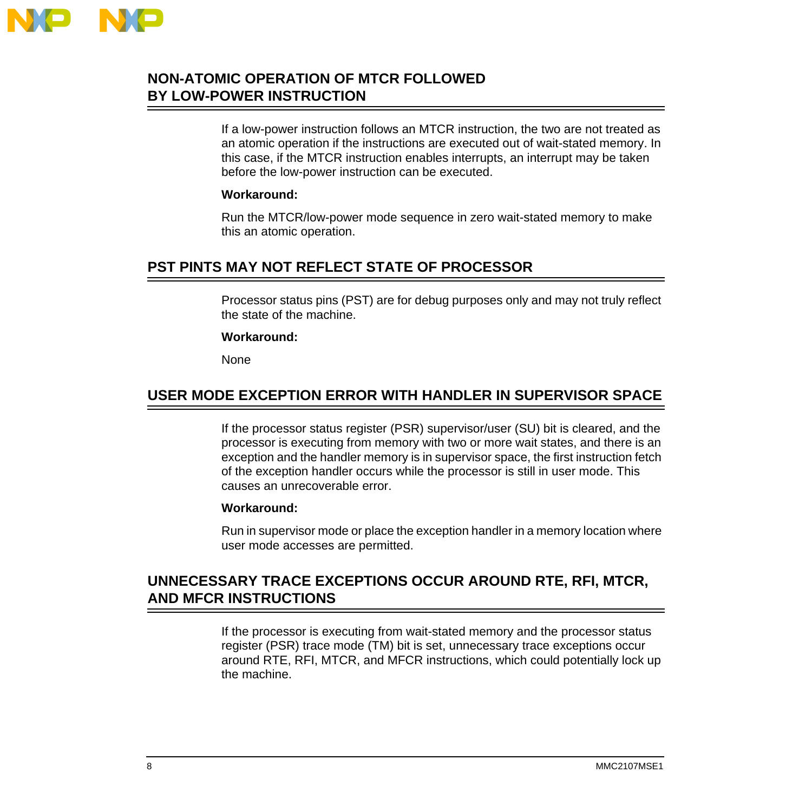

## **NON-ATOMIC OPERATION OF MTCR FOLLOWED BY LOW-POWER INSTRUCTION**

If a low-power instruction follows an MTCR instruction, the two are not treated as an atomic operation if the instructions are executed out of wait-stated memory. In this case, if the MTCR instruction enables interrupts, an interrupt may be taken before the low-power instruction can be executed.

### **Workaround:**

Run the MTCR/low-power mode sequence in zero wait-stated memory to make this an atomic operation.

## **PST PINTS MAY NOT REFLECT STATE OF PROCESSOR**

Processor status pins (PST) are for debug purposes only and may not truly reflect the state of the machine.

### **Workaround:**

**None** 

### **USER MODE EXCEPTION ERROR WITH HANDLER IN SUPERVISOR SPACE**

If the processor status register (PSR) supervisor/user (SU) bit is cleared, and the processor is executing from memory with two or more wait states, and there is an exception and the handler memory is in supervisor space, the first instruction fetch of the exception handler occurs while the processor is still in user mode. This causes an unrecoverable error.

### **Workaround:**

Run in supervisor mode or place the exception handler in a memory location where user mode accesses are permitted.

## **UNNECESSARY TRACE EXCEPTIONS OCCUR AROUND RTE, RFI, MTCR, AND MFCR INSTRUCTIONS**

If the processor is executing from wait-stated memory and the processor status register (PSR) trace mode (TM) bit is set, unnecessary trace exceptions occur around RTE, RFI, MTCR, and MFCR instructions, which could potentially lock up the machine.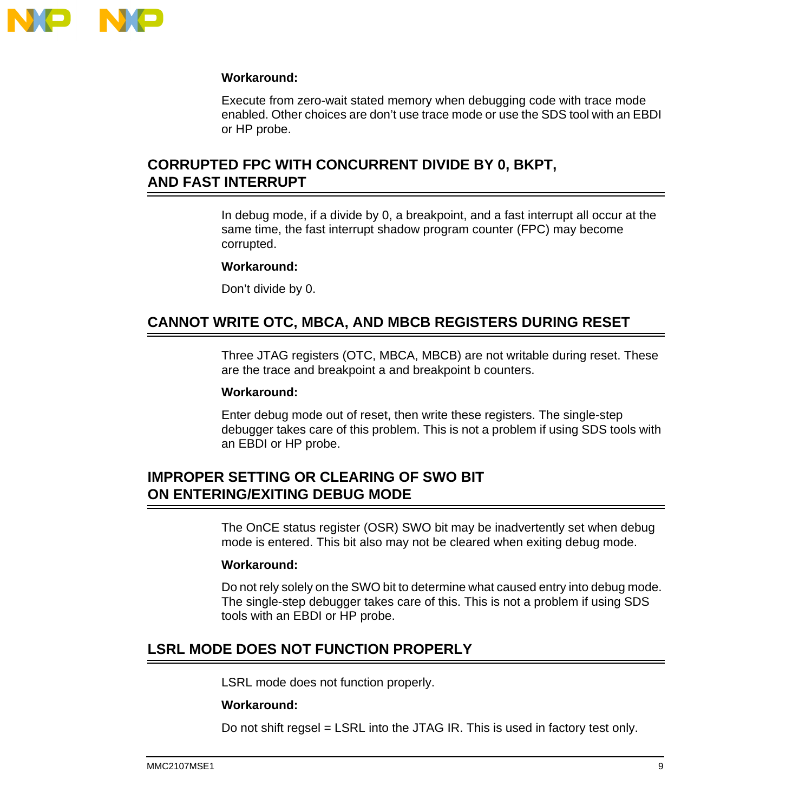

### **Workaround:**

Execute from zero-wait stated memory when debugging code with trace mode enabled. Other choices are don't use trace mode or use the SDS tool with an EBDI or HP probe.

## **CORRUPTED FPC WITH CONCURRENT DIVIDE BY 0, BKPT, AND FAST INTERRUPT**

In debug mode, if a divide by 0, a breakpoint, and a fast interrupt all occur at the same time, the fast interrupt shadow program counter (FPC) may become corrupted.

#### **Workaround:**

Don't divide by 0.

### **CANNOT WRITE OTC, MBCA, AND MBCB REGISTERS DURING RESET**

Three JTAG registers (OTC, MBCA, MBCB) are not writable during reset. These are the trace and breakpoint a and breakpoint b counters.

#### **Workaround:**

Enter debug mode out of reset, then write these registers. The single-step debugger takes care of this problem. This is not a problem if using SDS tools with an EBDI or HP probe.

### **IMPROPER SETTING OR CLEARING OF SWO BIT ON ENTERING/EXITING DEBUG MODE**

The OnCE status register (OSR) SWO bit may be inadvertently set when debug mode is entered. This bit also may not be cleared when exiting debug mode.

#### **Workaround:**

Do not rely solely on the SWO bit to determine what caused entry into debug mode. The single-step debugger takes care of this. This is not a problem if using SDS tools with an EBDI or HP probe.

### **LSRL MODE DOES NOT FUNCTION PROPERLY**

LSRL mode does not function properly.

#### **Workaround:**

Do not shift regsel = LSRL into the JTAG IR. This is used in factory test only.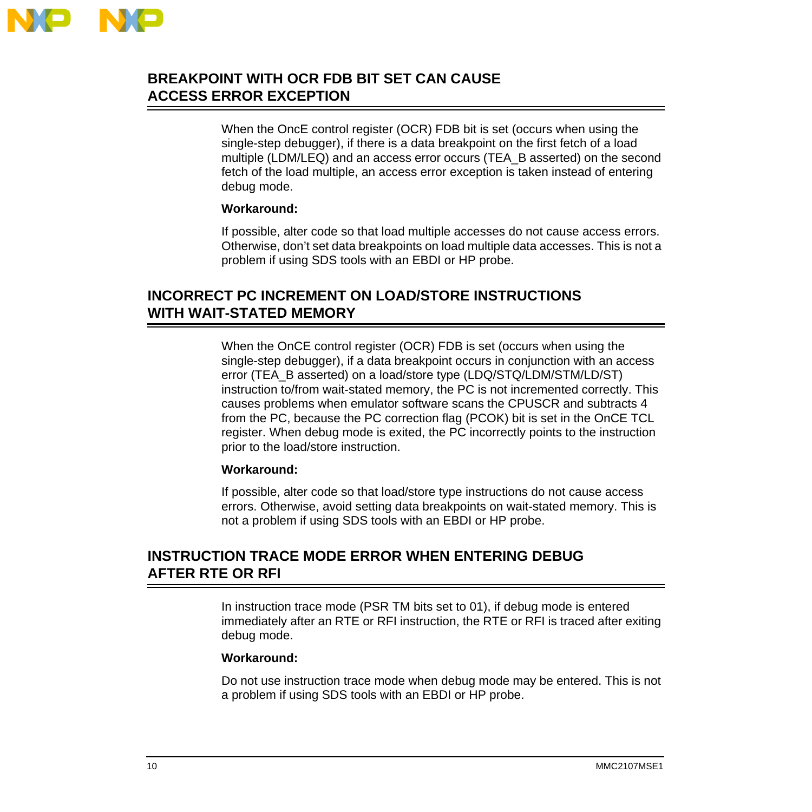

## **BREAKPOINT WITH OCR FDB BIT SET CAN CAUSE ACCESS ERROR EXCEPTION**

When the OncE control register (OCR) FDB bit is set (occurs when using the single-step debugger), if there is a data breakpoint on the first fetch of a load multiple (LDM/LEQ) and an access error occurs (TEA\_B asserted) on the second fetch of the load multiple, an access error exception is taken instead of entering debug mode.

### **Workaround:**

If possible, alter code so that load multiple accesses do not cause access errors. Otherwise, don't set data breakpoints on load multiple data accesses. This is not a problem if using SDS tools with an EBDI or HP probe.

### **INCORRECT PC INCREMENT ON LOAD/STORE INSTRUCTIONS WITH WAIT-STATED MEMORY**

When the OnCE control register (OCR) FDB is set (occurs when using the single-step debugger), if a data breakpoint occurs in conjunction with an access error (TEA\_B asserted) on a load/store type (LDQ/STQ/LDM/STM/LD/ST) instruction to/from wait-stated memory, the PC is not incremented correctly. This causes problems when emulator software scans the CPUSCR and subtracts 4 from the PC, because the PC correction flag (PCOK) bit is set in the OnCE TCL register. When debug mode is exited, the PC incorrectly points to the instruction prior to the load/store instruction.

#### **Workaround:**

If possible, alter code so that load/store type instructions do not cause access errors. Otherwise, avoid setting data breakpoints on wait-stated memory. This is not a problem if using SDS tools with an EBDI or HP probe.

## **INSTRUCTION TRACE MODE ERROR WHEN ENTERING DEBUG AFTER RTE OR RFI**

In instruction trace mode (PSR TM bits set to 01), if debug mode is entered immediately after an RTE or RFI instruction, the RTE or RFI is traced after exiting debug mode.

#### **Workaround:**

Do not use instruction trace mode when debug mode may be entered. This is not a problem if using SDS tools with an EBDI or HP probe.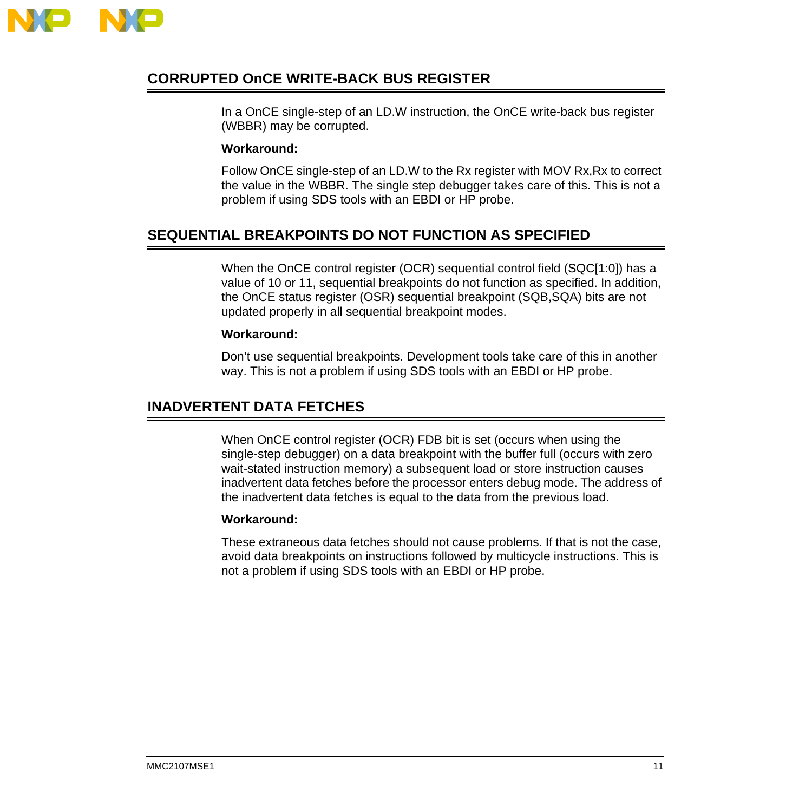

## **CORRUPTED OnCE WRITE-BACK BUS REGISTER**

In a OnCE single-step of an LD.W instruction, the OnCE write-back bus register (WBBR) may be corrupted.

### **Workaround:**

Follow OnCE single-step of an LD.W to the Rx register with MOV Rx,Rx to correct the value in the WBBR. The single step debugger takes care of this. This is not a problem if using SDS tools with an EBDI or HP probe.

## **SEQUENTIAL BREAKPOINTS DO NOT FUNCTION AS SPECIFIED**

When the OnCE control register (OCR) sequential control field (SQC[1:0]) has a value of 10 or 11, sequential breakpoints do not function as specified. In addition, the OnCE status register (OSR) sequential breakpoint (SQB,SQA) bits are not updated properly in all sequential breakpoint modes.

### **Workaround:**

Don't use sequential breakpoints. Development tools take care of this in another way. This is not a problem if using SDS tools with an EBDI or HP probe.

### **INADVERTENT DATA FETCHES**

When OnCE control register (OCR) FDB bit is set (occurs when using the single-step debugger) on a data breakpoint with the buffer full (occurs with zero wait-stated instruction memory) a subsequent load or store instruction causes inadvertent data fetches before the processor enters debug mode. The address of the inadvertent data fetches is equal to the data from the previous load.

#### **Workaround:**

These extraneous data fetches should not cause problems. If that is not the case, avoid data breakpoints on instructions followed by multicycle instructions. This is not a problem if using SDS tools with an EBDI or HP probe.